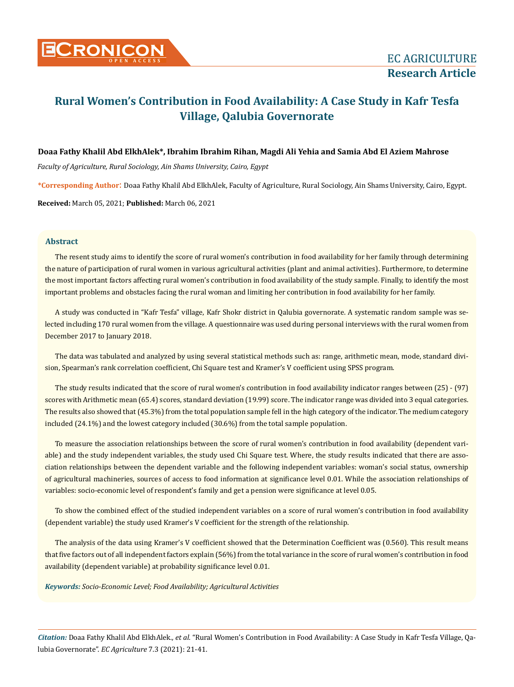

# **Rural Women's Contribution in Food Availability: A Case Study in Kafr Tesfa Village, Qalubia Governorate**

## **Doaa Fathy Khalil Abd ElkhAlek\*, Ibrahim Ibrahim Rihan, Magdi Ali Yehia and Samia Abd El Aziem Mahrose**

*Faculty of Agriculture, Rural Sociology, Ain Shams University, Cairo, Egypt*

**\*Corresponding Author**: Doaa Fathy Khalil Abd ElkhAlek, Faculty of Agriculture, Rural Sociology, Ain Shams University, Cairo, Egypt.

**Received:** March 05, 2021; **Published:** March 06, 2021

# **Abstract**

The resent study aims to identify the score of rural women's contribution in food availability for her family through determining the nature of participation of rural women in various agricultural activities (plant and animal activities). Furthermore, to determine the most important factors affecting rural women's contribution in food availability of the study sample. Finally, to identify the most important problems and obstacles facing the rural woman and limiting her contribution in food availability for her family.

A study was conducted in "Kafr Tesfa" village, Kafr Shokr district in Qalubia governorate. A systematic random sample was selected including 170 rural women from the village. A questionnaire was used during personal interviews with the rural women from December 2017 to January 2018.

The data was tabulated and analyzed by using several statistical methods such as: range, arithmetic mean, mode, standard division, Spearman's rank correlation coefficient, Chi Square test and Kramer's V coefficient using SPSS program.

The study results indicated that the score of rural women's contribution in food availability indicator ranges between (25) - (97) scores with Arithmetic mean (65.4) scores, standard deviation (19.99) score. The indicator range was divided into 3 equal categories. The results also showed that (45.3%) from the total population sample fell in the high category of the indicator. The medium category included (24.1%) and the lowest category included (30.6%) from the total sample population.

To measure the association relationships between the score of rural women's contribution in food availability (dependent variable) and the study independent variables, the study used Chi Square test. Where, the study results indicated that there are association relationships between the dependent variable and the following independent variables: woman's social status, ownership of agricultural machineries, sources of access to food information at significance level 0.01. While the association relationships of variables: socio-economic level of respondent's family and get a pension were significance at level 0.05.

To show the combined effect of the studied independent variables on a score of rural women's contribution in food availability (dependent variable) the study used Kramer's V coefficient for the strength of the relationship.

The analysis of the data using Kramer's V coefficient showed that the Determination Coefficient was (0.560). This result means that five factors out of all independent factors explain (56%) from the total variance in the score of rural women's contribution in food availability (dependent variable) at probability significance level 0.01.

*Keywords: Socio-Economic Level; Food Availability; Agricultural Activities*

*Citation:* Doaa Fathy Khalil Abd ElkhAlek*., et al.* "Rural Women's Contribution in Food Availability: A Case Study in Kafr Tesfa Village, Qalubia Governorate". *EC Agriculture* 7.3 (2021): 21-41.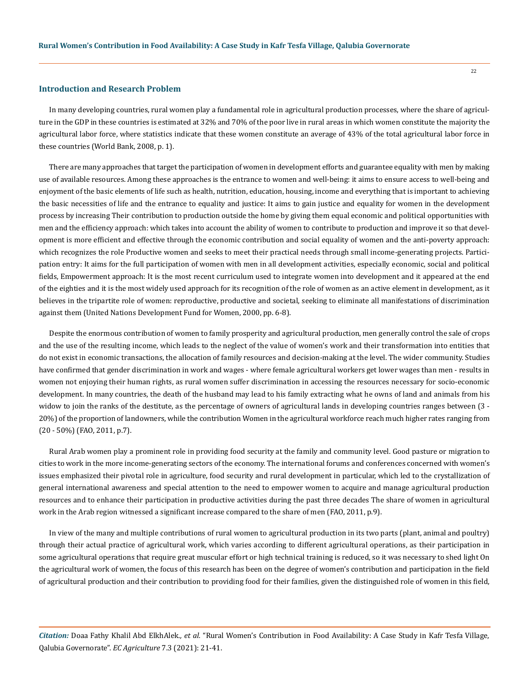#### **Introduction and Research Problem**

In many developing countries, rural women play a fundamental role in agricultural production processes, where the share of agriculture in the GDP in these countries is estimated at 32% and 70% of the poor live in rural areas in which women constitute the majority the agricultural labor force, where statistics indicate that these women constitute an average of 43% of the total agricultural labor force in these countries (World Bank, 2008, p. 1).

There are many approaches that target the participation of women in development efforts and guarantee equality with men by making use of available resources. Among these approaches is the entrance to women and well-being: it aims to ensure access to well-being and enjoyment of the basic elements of life such as health, nutrition, education, housing, income and everything that is important to achieving the basic necessities of life and the entrance to equality and justice: It aims to gain justice and equality for women in the development process by increasing Their contribution to production outside the home by giving them equal economic and political opportunities with men and the efficiency approach: which takes into account the ability of women to contribute to production and improve it so that development is more efficient and effective through the economic contribution and social equality of women and the anti-poverty approach: which recognizes the role Productive women and seeks to meet their practical needs through small income-generating projects. Participation entry: It aims for the full participation of women with men in all development activities, especially economic, social and political fields, Empowerment approach: It is the most recent curriculum used to integrate women into development and it appeared at the end of the eighties and it is the most widely used approach for its recognition of the role of women as an active element in development, as it believes in the tripartite role of women: reproductive, productive and societal, seeking to eliminate all manifestations of discrimination against them (United Nations Development Fund for Women, 2000, pp. 6-8).

Despite the enormous contribution of women to family prosperity and agricultural production, men generally control the sale of crops and the use of the resulting income, which leads to the neglect of the value of women's work and their transformation into entities that do not exist in economic transactions, the allocation of family resources and decision-making at the level. The wider community. Studies have confirmed that gender discrimination in work and wages - where female agricultural workers get lower wages than men - results in women not enjoying their human rights, as rural women suffer discrimination in accessing the resources necessary for socio-economic development. In many countries, the death of the husband may lead to his family extracting what he owns of land and animals from his widow to join the ranks of the destitute, as the percentage of owners of agricultural lands in developing countries ranges between (3 - 20%) of the proportion of landowners, while the contribution Women in the agricultural workforce reach much higher rates ranging from (20 - 50%) (FAO, 2011, p.7).

Rural Arab women play a prominent role in providing food security at the family and community level. Good pasture or migration to cities to work in the more income-generating sectors of the economy. The international forums and conferences concerned with women's issues emphasized their pivotal role in agriculture, food security and rural development in particular, which led to the crystallization of general international awareness and special attention to the need to empower women to acquire and manage agricultural production resources and to enhance their participation in productive activities during the past three decades The share of women in agricultural work in the Arab region witnessed a significant increase compared to the share of men (FAO, 2011, p.9).

In view of the many and multiple contributions of rural women to agricultural production in its two parts (plant, animal and poultry) through their actual practice of agricultural work, which varies according to different agricultural operations, as their participation in some agricultural operations that require great muscular effort or high technical training is reduced, so it was necessary to shed light On the agricultural work of women, the focus of this research has been on the degree of women's contribution and participation in the field of agricultural production and their contribution to providing food for their families, given the distinguished role of women in this field,

*Citation:* Doaa Fathy Khalil Abd ElkhAlek*., et al.* "Rural Women's Contribution in Food Availability: A Case Study in Kafr Tesfa Village, Qalubia Governorate". *EC Agriculture* 7.3 (2021): 21-41.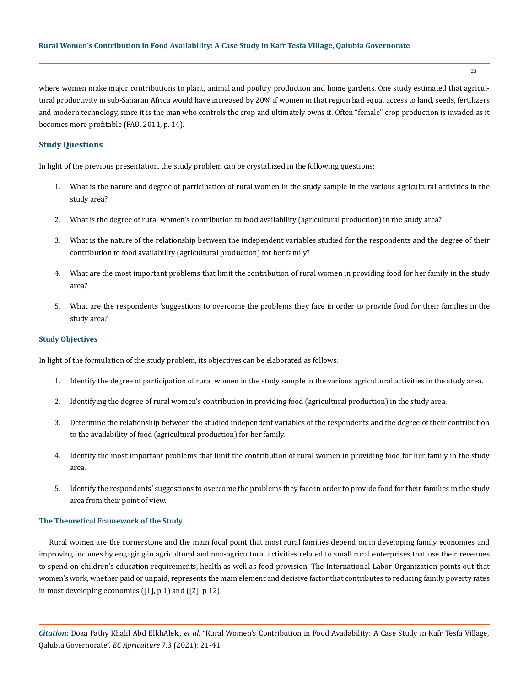where women make major contributions to plant, animal and poultry production and home gardens. One study estimated that agricultural productivity in sub-Saharan Africa would have increased by 20% if women in that region had equal access to land, seeds, fertilizers and modern technology, since it is the man who controls the crop and ultimately owns it. Often "female" crop production is invaded as it becomes more profitable (FAO, 2011, p. 14).

# **Study Questions**

In light of the previous presentation, the study problem can be crystallized in the following questions:

- 1. What is the nature and degree of participation of rural women in the study sample in the various agricultural activities in the study area?
- 2. What is the degree of rural women's contribution to food availability (agricultural production) in the study area?
- 3. What is the nature of the relationship between the independent variables studied for the respondents and the degree of their contribution to food availability (agricultural production) for her family?
- 4. What are the most important problems that limit the contribution of rural women in providing food for her family in the study area?
- 5. What are the respondents 'suggestions to overcome the problems they face in order to provide food for their families in the study area?

#### **Study Objectives**

In light of the formulation of the study problem, its objectives can be elaborated as follows:

- 1. Identify the degree of participation of rural women in the study sample in the various agricultural activities in the study area.
- 2. Identifying the degree of rural women's contribution in providing food (agricultural production) in the study area.
- 3. Determine the relationship between the studied independent variables of the respondents and the degree of their contribution to the availability of food (agricultural production) for her family.
- 4. Identify the most important problems that limit the contribution of rural women in providing food for her family in the study area.
- 5. Identify the respondents' suggestions to overcome the problems they face in order to provide food for their families in the study area from their point of view.

## **The Theoretical Framework of the Study**

Rural women are the cornerstone and the main focal point that most rural families depend on in developing family economies and improving incomes by engaging in agricultural and non-agricultural activities related to small rural enterprises that use their revenues to spend on children's education requirements, health as well as food provision. The International Labor Organization points out that women's work, whether paid or unpaid, represents the main element and decisive factor that contributes to reducing family poverty rates in most developing economies ([1], p 1) and ([2], p 12).

*Citation:* Doaa Fathy Khalil Abd ElkhAlek*., et al.* "Rural Women's Contribution in Food Availability: A Case Study in Kafr Tesfa Village, Qalubia Governorate". *EC Agriculture* 7.3 (2021): 21-41.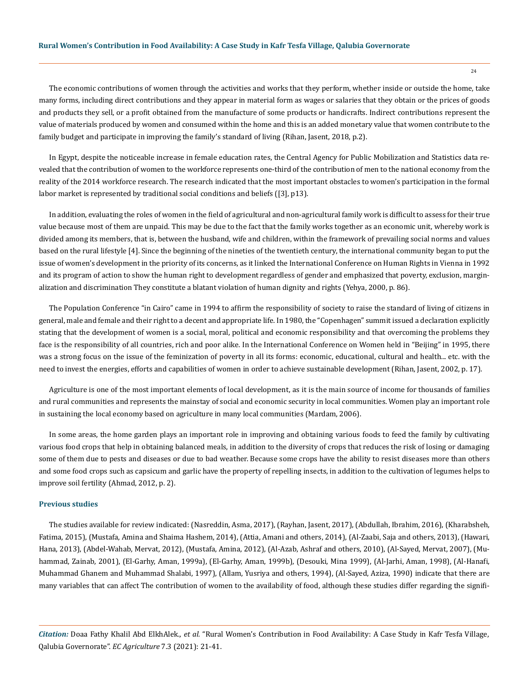The economic contributions of women through the activities and works that they perform, whether inside or outside the home, take many forms, including direct contributions and they appear in material form as wages or salaries that they obtain or the prices of goods and products they sell, or a profit obtained from the manufacture of some products or handicrafts. Indirect contributions represent the value of materials produced by women and consumed within the home and this is an added monetary value that women contribute to the family budget and participate in improving the family's standard of living (Rihan, Jasent, 2018, p.2).

In Egypt, despite the noticeable increase in female education rates, the Central Agency for Public Mobilization and Statistics data revealed that the contribution of women to the workforce represents one-third of the contribution of men to the national economy from the reality of the 2014 workforce research. The research indicated that the most important obstacles to women's participation in the formal labor market is represented by traditional social conditions and beliefs ([3], p13).

In addition, evaluating the roles of women in the field of agricultural and non-agricultural family work is difficult to assess for their true value because most of them are unpaid. This may be due to the fact that the family works together as an economic unit, whereby work is divided among its members, that is, between the husband, wife and children, within the framework of prevailing social norms and values based on the rural lifestyle [4]. Since the beginning of the nineties of the twentieth century, the international community began to put the issue of women's development in the priority of its concerns, as it linked the International Conference on Human Rights in Vienna in 1992 and its program of action to show the human right to development regardless of gender and emphasized that poverty, exclusion, marginalization and discrimination They constitute a blatant violation of human dignity and rights (Yehya, 2000, p. 86).

The Population Conference "in Cairo" came in 1994 to affirm the responsibility of society to raise the standard of living of citizens in general, male and female and their right to a decent and appropriate life. In 1980, the "Copenhagen" summit issued a declaration explicitly stating that the development of women is a social, moral, political and economic responsibility and that overcoming the problems they face is the responsibility of all countries, rich and poor alike. In the International Conference on Women held in "Beijing" in 1995, there was a strong focus on the issue of the feminization of poverty in all its forms: economic, educational, cultural and health... etc. with the need to invest the energies, efforts and capabilities of women in order to achieve sustainable development (Rihan, Jasent, 2002, p. 17).

Agriculture is one of the most important elements of local development, as it is the main source of income for thousands of families and rural communities and represents the mainstay of social and economic security in local communities. Women play an important role in sustaining the local economy based on agriculture in many local communities (Mardam, 2006).

In some areas, the home garden plays an important role in improving and obtaining various foods to feed the family by cultivating various food crops that help in obtaining balanced meals, in addition to the diversity of crops that reduces the risk of losing or damaging some of them due to pests and diseases or due to bad weather. Because some crops have the ability to resist diseases more than others and some food crops such as capsicum and garlic have the property of repelling insects, in addition to the cultivation of legumes helps to improve soil fertility (Ahmad, 2012, p. 2).

#### **Previous studies**

The studies available for review indicated: (Nasreddin, Asma, 2017), (Rayhan, Jasent, 2017), (Abdullah, Ibrahim, 2016), (Kharabsheh, Fatima, 2015), (Mustafa, Amina and Shaima Hashem, 2014), (Attia, Amani and others, 2014), (Al-Zaabi, Saja and others, 2013), (Hawari, Hana, 2013), (Abdel-Wahab, Mervat, 2012), (Mustafa, Amina, 2012), (Al-Azab, Ashraf and others, 2010), (Al-Sayed, Mervat, 2007), (Muhammad, Zainab, 2001), (El-Garhy, Aman, 1999a), (El-Garhy, Aman, 1999b), (Desouki, Mina 1999), (Al-Jarhi, Aman, 1998), (Al-Hanafi, Muhammad Ghanem and Muhammad Shalabi, 1997), (Allam, Yusriya and others, 1994), (Al-Sayed, Aziza, 1990) indicate that there are many variables that can affect The contribution of women to the availability of food, although these studies differ regarding the signifi-

*Citation:* Doaa Fathy Khalil Abd ElkhAlek*., et al.* "Rural Women's Contribution in Food Availability: A Case Study in Kafr Tesfa Village, Qalubia Governorate". *EC Agriculture* 7.3 (2021): 21-41.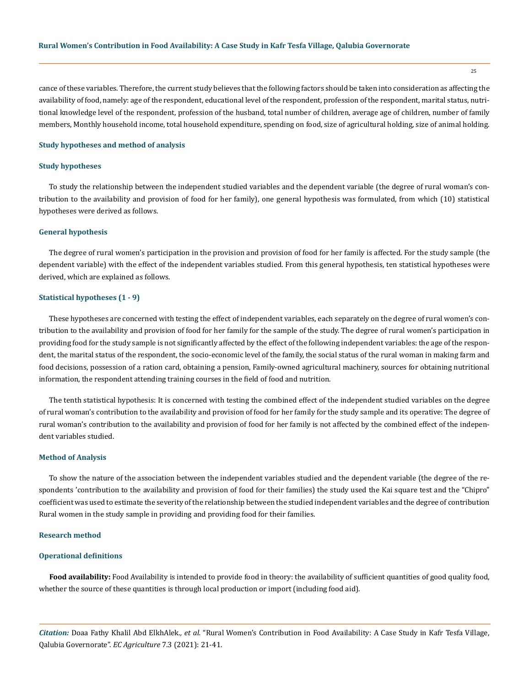cance of these variables. Therefore, the current study believes that the following factors should be taken into consideration as affecting the availability of food, namely: age of the respondent, educational level of the respondent, profession of the respondent, marital status, nutritional knowledge level of the respondent, profession of the husband, total number of children, average age of children, number of family members, Monthly household income, total household expenditure, spending on food, size of agricultural holding, size of animal holding.

#### **Study hypotheses and method of analysis**

#### **Study hypotheses**

To study the relationship between the independent studied variables and the dependent variable (the degree of rural woman's contribution to the availability and provision of food for her family), one general hypothesis was formulated, from which (10) statistical hypotheses were derived as follows.

## **General hypothesis**

The degree of rural women's participation in the provision and provision of food for her family is affected. For the study sample (the dependent variable) with the effect of the independent variables studied. From this general hypothesis, ten statistical hypotheses were derived, which are explained as follows.

#### **Statistical hypotheses (1 - 9)**

These hypotheses are concerned with testing the effect of independent variables, each separately on the degree of rural women's contribution to the availability and provision of food for her family for the sample of the study. The degree of rural women's participation in providing food for the study sample is not significantly affected by the effect of the following independent variables: the age of the respondent, the marital status of the respondent, the socio-economic level of the family, the social status of the rural woman in making farm and food decisions, possession of a ration card, obtaining a pension, Family-owned agricultural machinery, sources for obtaining nutritional information, the respondent attending training courses in the field of food and nutrition.

The tenth statistical hypothesis: It is concerned with testing the combined effect of the independent studied variables on the degree of rural woman's contribution to the availability and provision of food for her family for the study sample and its operative: The degree of rural woman's contribution to the availability and provision of food for her family is not affected by the combined effect of the independent variables studied.

#### **Method of Analysis**

To show the nature of the association between the independent variables studied and the dependent variable (the degree of the respondents 'contribution to the availability and provision of food for their families) the study used the Kai square test and the "Chipro" coefficient was used to estimate the severity of the relationship between the studied independent variables and the degree of contribution Rural women in the study sample in providing and providing food for their families.

#### **Research method**

#### **Operational definitions**

**Food availability:** Food Availability is intended to provide food in theory: the availability of sufficient quantities of good quality food, whether the source of these quantities is through local production or import (including food aid).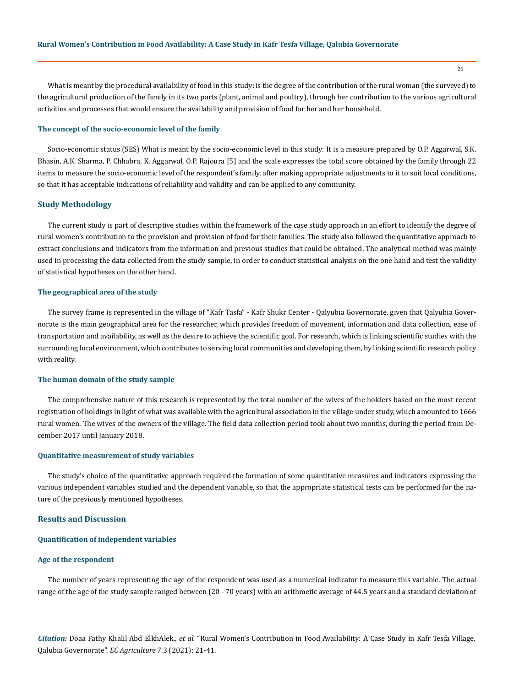What is meant by the procedural availability of food in this study: is the degree of the contribution of the rural woman (the surveyed) to the agricultural production of the family in its two parts (plant, animal and poultry), through her contribution to the various agricultural activities and processes that would ensure the availability and provision of food for her and her household.

#### **The concept of the socio-economic level of the family**

Socio-economic status (SES) What is meant by the socio-economic level in this study: It is a measure prepared by O.P. Aggarwal, S.K. Bhasin, A.K. Sharma, P. Chhabra, K. Aggarwal, O.P. Rajoura [5] and the scale expresses the total score obtained by the family through 22 items to measure the socio-economic level of the respondent's family, after making appropriate adjustments to it to suit local conditions, so that it has acceptable indications of reliability and validity and can be applied to any community.

## **Study Methodology**

The current study is part of descriptive studies within the framework of the case study approach in an effort to identify the degree of rural women's contribution to the provision and provision of food for their families. The study also followed the quantitative approach to extract conclusions and indicators from the information and previous studies that could be obtained. The analytical method was mainly used in processing the data collected from the study sample, in order to conduct statistical analysis on the one hand and test the validity of statistical hypotheses on the other hand.

#### **The geographical area of the study**

The survey frame is represented in the village of "Kafr Tasfa" - Kafr Shukr Center - Qalyubia Governorate, given that Qalyubia Governorate is the main geographical area for the researcher, which provides freedom of movement, information and data collection, ease of transportation and availability, as well as the desire to achieve the scientific goal. For research, which is linking scientific studies with the surrounding local environment, which contributes to serving local communities and developing them, by linking scientific research policy with reality.

## **The human domain of the study sample**

The comprehensive nature of this research is represented by the total number of the wives of the holders based on the most recent registration of holdings in light of what was available with the agricultural association in the village under study, which amounted to 1666 rural women. The wives of the owners of the village. The field data collection period took about two months, during the period from December 2017 until January 2018.

## **Quantitative measurement of study variables**

The study's choice of the quantitative approach required the formation of some quantitative measures and indicators expressing the various independent variables studied and the dependent variable, so that the appropriate statistical tests can be performed for the nature of the previously mentioned hypotheses.

#### **Results and Discussion**

#### **Quantification of independent variables**

## **Age of the respondent**

The number of years representing the age of the respondent was used as a numerical indicator to measure this variable. The actual range of the age of the study sample ranged between (20 - 70 years) with an arithmetic average of 44.5 years and a standard deviation of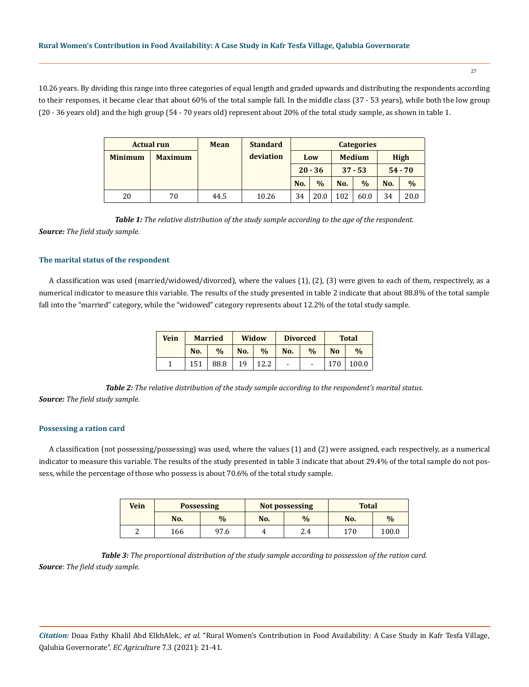10.26 years. By dividing this range into three categories of equal length and graded upwards and distributing the respondents according to their responses, it became clear that about 60% of the total sample fall. In the middle class (37 - 53 years), while both the low group (20 - 36 years old) and the high group (54 - 70 years old) represent about 20% of the total study sample, as shown in table 1.

|                | <b>Actual run</b> | <b>Mean</b> | <b>Standard</b> |     |               |     | <b>Categories</b> |     |               |
|----------------|-------------------|-------------|-----------------|-----|---------------|-----|-------------------|-----|---------------|
| <b>Minimum</b> | <b>Maximum</b>    |             | deviation       | Low |               |     | <b>Medium</b>     |     | <b>High</b>   |
|                |                   |             |                 |     | $20 - 36$     |     | $37 - 53$         |     | $54 - 70$     |
|                |                   |             |                 | No. | $\frac{0}{0}$ | No. | $\frac{0}{0}$     | No. | $\frac{0}{0}$ |
| 20             | 70                | 44.5        | 10.26           | 34  | 20.0          | .02 | 60.0              | 34  | 20.0          |

*Table 1: The relative distribution of the study sample according to the age of the respondent.*

*Source: The field study sample.*

## **The marital status of the respondent**

A classification was used (married/widowed/divorced), where the values (1), (2), (3) were given to each of them, respectively, as a numerical indicator to measure this variable. The results of the study presented in table 2 indicate that about 88.8% of the total sample fall into the "married" category, while the "widowed" category represents about 12.2% of the total study sample.

| <b>Vein</b> |     | <b>Married</b> |     | Widow         | <b>Divorced</b>          |               |                | <b>Total</b>  |
|-------------|-----|----------------|-----|---------------|--------------------------|---------------|----------------|---------------|
|             | No. | $\frac{0}{0}$  | No. | $\frac{0}{0}$ | No.                      | $\frac{0}{0}$ | N <sub>o</sub> | $\frac{0}{0}$ |
|             | 151 | 88.8           | 19  |               | $\overline{\phantom{a}}$ |               | 170            | 100.0         |

*Table 2: The relative distribution of the study sample according to the respondent's marital status. Source: The field study sample.*

## **Possessing a ration card**

A classification (not possessing/possessing) was used, where the values (1) and (2) were assigned, each respectively, as a numerical indicator to measure this variable. The results of the study presented in table 3 indicate that about 29.4% of the total sample do not possess, while the percentage of those who possess is about 70.6% of the total study sample.

| <b>Vein</b> |     | <b>Possessing</b> |     | <b>Not possessing</b> | <b>Total</b> |               |
|-------------|-----|-------------------|-----|-----------------------|--------------|---------------|
|             | No. | $\frac{0}{0}$     | No. | $\frac{0}{0}$         | No.          | $\frac{0}{0}$ |
| c           | 166 | 97.6              |     | 2.4                   | 170          | 100.0         |

*Table 3: The proportional distribution of the study sample according to possession of the ration card. Source: The field study sample.*

*Citation:* Doaa Fathy Khalil Abd ElkhAlek*., et al.* "Rural Women's Contribution in Food Availability: A Case Study in Kafr Tesfa Village, Qalubia Governorate". *EC Agriculture* 7.3 (2021): 21-41.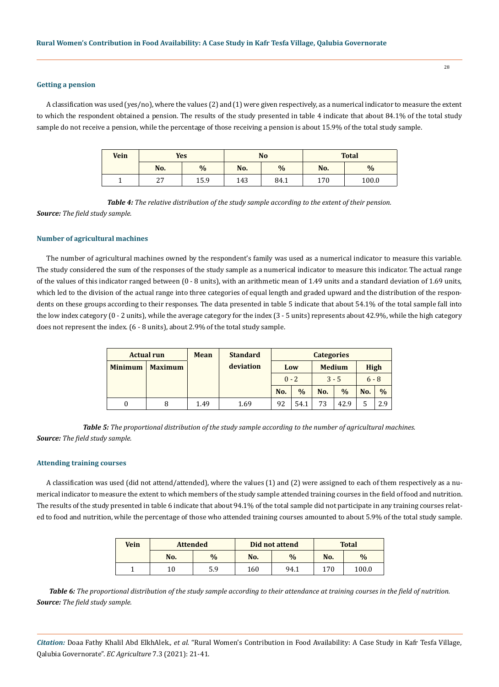## **Getting a pension**

A classification was used (yes/no), where the values (2) and (1) were given respectively, as a numerical indicator to measure the extent to which the respondent obtained a pension. The results of the study presented in table 4 indicate that about 84.1% of the total study sample do not receive a pension, while the percentage of those receiving a pension is about 15.9% of the total study sample.

| <b>Vein</b> | <b>Yes</b> |               |     | N <sub>o</sub> |     | <b>Total</b>  |
|-------------|------------|---------------|-----|----------------|-----|---------------|
|             | No.        | $\frac{0}{0}$ | No. | $\frac{0}{0}$  | No. | $\frac{0}{0}$ |
|             | つワ<br>47   | 15.9          | 143 | 84.1           | 170 | 100.0         |

*Table 4: The relative distribution of the study sample according to the extent of their pension.*

*Source: The field study sample.*

## **Number of agricultural machines**

The number of agricultural machines owned by the respondent's family was used as a numerical indicator to measure this variable. The study considered the sum of the responses of the study sample as a numerical indicator to measure this indicator. The actual range of the values of this indicator ranged between (0 - 8 units), with an arithmetic mean of 1.49 units and a standard deviation of 1.69 units, which led to the division of the actual range into three categories of equal length and graded upward and the distribution of the respondents on these groups according to their responses. The data presented in table 5 indicate that about 54.1% of the total sample fall into the low index category (0 - 2 units), while the average category for the index (3 - 5 units) represents about 42.9%, while the high category does not represent the index. (6 - 8 units), about 2.9% of the total study sample.

|                | <b>Actual run</b> | <b>Mean</b> | <b>Standard</b> |     |               | <b>Categories</b> |               |             |               |
|----------------|-------------------|-------------|-----------------|-----|---------------|-------------------|---------------|-------------|---------------|
| <b>Minimum</b> | <b>Maximum</b>    |             | deviation       |     | Low           |                   | <b>Medium</b> | <b>High</b> |               |
|                |                   |             |                 |     | $0 - 2$       |                   | $3 - 5$       | $6 - 8$     |               |
|                |                   |             |                 | No. | $\frac{0}{0}$ | No.               | $\frac{0}{0}$ | No.         | $\frac{0}{0}$ |
|                | 8                 | 1.49        | 1.69            | 92  | 54.1          | 73                | 42.9          |             | 2.9           |

*Table 5: The proportional distribution of the study sample according to the number of agricultural machines. Source: The field study sample.*

#### **Attending training courses**

A classification was used (did not attend/attended), where the values (1) and (2) were assigned to each of them respectively as a numerical indicator to measure the extent to which members of the study sample attended training courses in the field of food and nutrition. The results of the study presented in table 6 indicate that about 94.1% of the total sample did not participate in any training courses related to food and nutrition, while the percentage of those who attended training courses amounted to about 5.9% of the total study sample.

| <b>Vein</b> | <b>Attended</b> |               |     | Did not attend |     | <b>Total</b>  |
|-------------|-----------------|---------------|-----|----------------|-----|---------------|
|             | No.             | $\frac{0}{0}$ | No. | $\frac{0}{0}$  | No. | $\frac{0}{0}$ |
|             | 10              | 5.9           | 160 | 94.1           | 170 | 100.0         |

*Table 6: The proportional distribution of the study sample according to their attendance at training courses in the field of nutrition. Source: The field study sample.*

*Citation:* Doaa Fathy Khalil Abd ElkhAlek*., et al.* "Rural Women's Contribution in Food Availability: A Case Study in Kafr Tesfa Village, Qalubia Governorate". *EC Agriculture* 7.3 (2021): 21-41.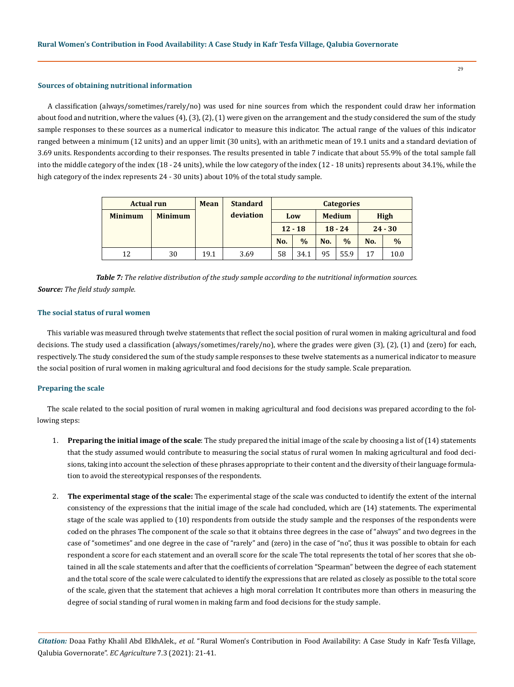## **Sources of obtaining nutritional information**

A classification (always/sometimes/rarely/no) was used for nine sources from which the respondent could draw her information about food and nutrition, where the values  $(4)$ ,  $(3)$ ,  $(2)$ ,  $(1)$  were given on the arrangement and the study considered the sum of the study sample responses to these sources as a numerical indicator to measure this indicator. The actual range of the values of this indicator ranged between a minimum (12 units) and an upper limit (30 units), with an arithmetic mean of 19.1 units and a standard deviation of 3.69 units. Respondents according to their responses. The results presented in table 7 indicate that about 55.9% of the total sample fall into the middle category of the index (18 - 24 units), while the low category of the index (12 - 18 units) represents about 34.1%, while the high category of the index represents 24 - 30 units) about 10% of the total study sample.

| <b>Actual run</b> |                | <b>Mean</b> | <b>Standard</b> |     |               |     | <b>Categories</b> |     |               |
|-------------------|----------------|-------------|-----------------|-----|---------------|-----|-------------------|-----|---------------|
| <b>Minimum</b>    | <b>Minimum</b> |             | deviation       |     | Low           |     | <b>Medium</b>     |     | <b>High</b>   |
|                   |                |             |                 |     | $12 - 18$     |     | $18 - 24$         |     | $24 - 30$     |
|                   |                |             |                 | No. | $\frac{0}{0}$ | No. | $\frac{0}{0}$     | No. | $\frac{0}{0}$ |
| 12                | 30             | 19.1        | 3.69            | 58  | 34.1          | 95  | 55.9              | 17  | 10.0          |

*Table 7: The relative distribution of the study sample according to the nutritional information sources. Source: The field study sample.*

## **The social status of rural women**

This variable was measured through twelve statements that reflect the social position of rural women in making agricultural and food decisions. The study used a classification (always/sometimes/rarely/no), where the grades were given (3), (2), (1) and (zero) for each, respectively. The study considered the sum of the study sample responses to these twelve statements as a numerical indicator to measure the social position of rural women in making agricultural and food decisions for the study sample. Scale preparation.

### **Preparing the scale**

The scale related to the social position of rural women in making agricultural and food decisions was prepared according to the following steps:

- 1. **Preparing the initial image of the scale**: The study prepared the initial image of the scale by choosing a list of (14) statements that the study assumed would contribute to measuring the social status of rural women In making agricultural and food decisions, taking into account the selection of these phrases appropriate to their content and the diversity of their language formulation to avoid the stereotypical responses of the respondents.
- 2. **The experimental stage of the scale:** The experimental stage of the scale was conducted to identify the extent of the internal consistency of the expressions that the initial image of the scale had concluded, which are (14) statements. The experimental stage of the scale was applied to (10) respondents from outside the study sample and the responses of the respondents were coded on the phrases The component of the scale so that it obtains three degrees in the case of "always" and two degrees in the case of "sometimes" and one degree in the case of "rarely" and (zero) in the case of "no", thus it was possible to obtain for each respondent a score for each statement and an overall score for the scale The total represents the total of her scores that she obtained in all the scale statements and after that the coefficients of correlation "Spearman" between the degree of each statement and the total score of the scale were calculated to identify the expressions that are related as closely as possible to the total score of the scale, given that the statement that achieves a high moral correlation It contributes more than others in measuring the degree of social standing of rural women in making farm and food decisions for the study sample.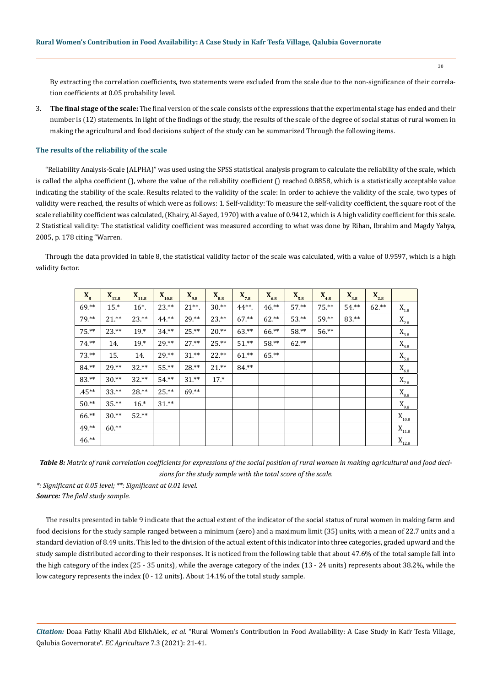30

By extracting the correlation coefficients, two statements were excluded from the scale due to the non-significance of their correlation coefficients at 0.05 probability level.

3. **The final stage of the scale:** The final version of the scale consists of the expressions that the experimental stage has ended and their number is (12) statements. In light of the findings of the study, the results of the scale of the degree of social status of rural women in making the agricultural and food decisions subject of the study can be summarized Through the following items.

#### **The results of the reliability of the scale**

"Reliability Analysis-Scale (ALPHA)" was used using the SPSS statistical analysis program to calculate the reliability of the scale, which is called the alpha coefficient (), where the value of the reliability coefficient () reached 0.8858, which is a statistically acceptable value indicating the stability of the scale. Results related to the validity of the scale: In order to achieve the validity of the scale, two types of validity were reached, the results of which were as follows: 1. Self-validity: To measure the self-validity coefficient, the square root of the scale reliability coefficient was calculated, (Khairy, Al-Sayed, 1970) with a value of 0.9412, which is A high validity coefficient for this scale. 2 Statistical validity: The statistical validity coefficient was measured according to what was done by Rihan, Ibrahim and Magdy Yahya, 2005, p. 178 citing "Warren.

Through the data provided in table 8, the statistical validity factor of the scale was calculated, with a value of 0.9597, which is a high validity factor.

| $X_{8}$ | $X_{12.8}$ | $X_{11.8}$ | $X_{10.8}$ | $X_{9.8}$ | $X_{8.8}$ | $X_{7.8}$ | $X_{6.8}$ | $X_{5.8}$ | $X_{4.8}$ | $X_{3.8}$ | $X_{2.8}$ |                                        |
|---------|------------|------------|------------|-----------|-----------|-----------|-----------|-----------|-----------|-----------|-----------|----------------------------------------|
| $69.**$ | $15.*$     | $16^*$ .   | $23.**$    | $21**$ .  | $30.**$   | $44**$ .  | $46.**$   | $57.**$   | $75.**$   | $54.**$   | $62.**$   | $\mathbf{X}_{\mathbf{1.8}}$            |
| 79.**   | $21.**$    | $23.**$    | 44.**      | $29.**$   | $23.**$   | $67.**$   | $62.**$   | $53.**$   | $59.**$   | 83.**     |           | $\mathbf{X}_{2.8}$                     |
| $75.**$ | $23.**$    | $19.*$     | $34.**$    | $25.**$   | $20.**$   | $63.**$   | 66.**     | 58.**     | 56.**     |           |           | $\mathbf{X}_{_{3.8}}$                  |
| $74.**$ | 14.        | $19.*$     | $29.**$    | $27.**$   | $25.**$   | $51.**$   | 58.**     | $62.**$   |           |           |           | $\mathbf{X}_{_{4.8}}$                  |
| $73.**$ | 15.        | 14.        | $29.**$    | $31.**$   | $22.**$   | $61.*$    | $65.**$   |           |           |           |           | $\mathbf{X}_{5.8}$                     |
| 84.**   | $29.**$    | $32.**$    | $55.**$    | $28.**$   | $21.**$   | $84.**$   |           |           |           |           |           | $\mathbf{X}_{_{6.8}}$                  |
| 83.**   | $30.**$    | $32.**$    | $54.**$    | $31.**$   | $17.*$    |           |           |           |           |           |           | $X_{7.8}$                              |
| $.45**$ | $33.**$    | $28.**$    | $25.**$    | $69.**$   |           |           |           |           |           |           |           | $\mathbf{X}_{\scriptscriptstyle{8.8}}$ |
| $50.**$ | $35.**$    | $16.*$     | $31.**$    |           |           |           |           |           |           |           |           | $\mathbf{X}_{9.8}$                     |
| $66.**$ | $30.**$    | $52.**$    |            |           |           |           |           |           |           |           |           | $\mathbf{X}_{\text{10.8}}$             |
| 49.**   | $60.**$    |            |            |           |           |           |           |           |           |           |           | $\mathbf{X}_{\mathbf{11.8}}$           |
| $46.**$ |            |            |            |           |           |           |           |           |           |           |           | $X_{12.8}$                             |

*Table 8: Matrix of rank correlation coefficients for expressions of the social position of rural women in making agricultural and food decisions for the study sample with the total score of the scale.*

*\*: Significant at 0.05 level; \*\*: Significant at 0.01 level. Source: The field study sample.*

The results presented in table 9 indicate that the actual extent of the indicator of the social status of rural women in making farm and food decisions for the study sample ranged between a minimum (zero) and a maximum limit (35) units, with a mean of 22.7 units and a standard deviation of 8.49 units. This led to the division of the actual extent of this indicator into three categories, graded upward and the study sample distributed according to their responses. It is noticed from the following table that about 47.6% of the total sample fall into the high category of the index (25 - 35 units), while the average category of the index (13 - 24 units) represents about 38.2%, while the low category represents the index (0 - 12 units). About 14.1% of the total study sample.

*Citation:* Doaa Fathy Khalil Abd ElkhAlek*., et al.* "Rural Women's Contribution in Food Availability: A Case Study in Kafr Tesfa Village, Qalubia Governorate". *EC Agriculture* 7.3 (2021): 21-41.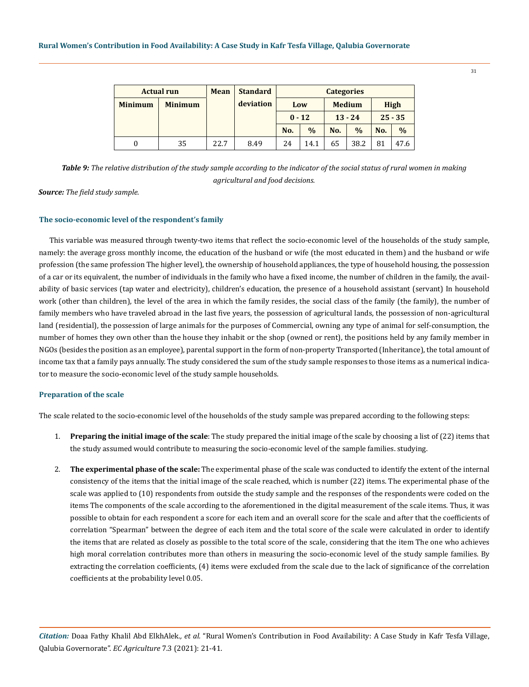|                | <b>Actual run</b> | <b>Mean</b> | <b>Standard</b> |          |               | <b>Categories</b> |               |     |               |
|----------------|-------------------|-------------|-----------------|----------|---------------|-------------------|---------------|-----|---------------|
| <b>Minimum</b> | <b>Minimum</b>    |             | deviation       |          | Low           |                   | <b>Medium</b> |     | High          |
|                |                   |             |                 | $0 - 12$ |               |                   | $13 - 24$     |     | $25 - 35$     |
|                |                   |             |                 | No.      | $\frac{0}{0}$ | No.               | $\frac{0}{0}$ | No. | $\frac{0}{0}$ |
| 0              | 35                | 22.7        | 8.49            | 24       | 14.1          | 65                | 38.2          | 81  | 47.6          |

*Table 9: The relative distribution of the study sample according to the indicator of the social status of rural women in making agricultural and food decisions.*

*Source: The field study sample.*

## **The socio-economic level of the respondent's family**

This variable was measured through twenty-two items that reflect the socio-economic level of the households of the study sample, namely: the average gross monthly income, the education of the husband or wife (the most educated in them) and the husband or wife profession (the same profession The higher level), the ownership of household appliances, the type of household housing, the possession of a car or its equivalent, the number of individuals in the family who have a fixed income, the number of children in the family, the availability of basic services (tap water and electricity), children's education, the presence of a household assistant (servant) In household work (other than children), the level of the area in which the family resides, the social class of the family (the family), the number of family members who have traveled abroad in the last five years, the possession of agricultural lands, the possession of non-agricultural land (residential), the possession of large animals for the purposes of Commercial, owning any type of animal for self-consumption, the number of homes they own other than the house they inhabit or the shop (owned or rent), the positions held by any family member in NGOs (besides the position as an employee), parental support in the form of non-property Transported (Inheritance), the total amount of income tax that a family pays annually. The study considered the sum of the study sample responses to those items as a numerical indicator to measure the socio-economic level of the study sample households.

#### **Preparation of the scale**

The scale related to the socio-economic level of the households of the study sample was prepared according to the following steps:

- 1. **Preparing the initial image of the scale**: The study prepared the initial image of the scale by choosing a list of (22) items that the study assumed would contribute to measuring the socio-economic level of the sample families. studying.
- 2. **The experimental phase of the scale:** The experimental phase of the scale was conducted to identify the extent of the internal consistency of the items that the initial image of the scale reached, which is number (22) items. The experimental phase of the scale was applied to (10) respondents from outside the study sample and the responses of the respondents were coded on the items The components of the scale according to the aforementioned in the digital measurement of the scale items. Thus, it was possible to obtain for each respondent a score for each item and an overall score for the scale and after that the coefficients of correlation "Spearman" between the degree of each item and the total score of the scale were calculated in order to identify the items that are related as closely as possible to the total score of the scale, considering that the item The one who achieves high moral correlation contributes more than others in measuring the socio-economic level of the study sample families. By extracting the correlation coefficients, (4) items were excluded from the scale due to the lack of significance of the correlation coefficients at the probability level 0.05.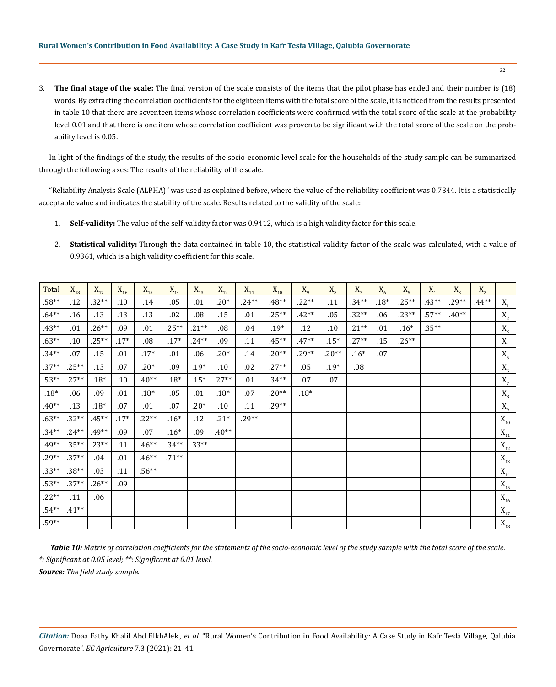3. **The final stage of the scale:** The final version of the scale consists of the items that the pilot phase has ended and their number is (18) words. By extracting the correlation coefficients for the eighteen items with the total score of the scale, it is noticed from the results presented in table 10 that there are seventeen items whose correlation coefficients were confirmed with the total score of the scale at the probability level 0.01 and that there is one item whose correlation coefficient was proven to be significant with the total score of the scale on the probability level is 0.05.

In light of the findings of the study, the results of the socio-economic level scale for the households of the study sample can be summarized through the following axes: The results of the reliability of the scale.

"Reliability Analysis-Scale (ALPHA)" was used as explained before, where the value of the reliability coefficient was 0.7344. It is a statistically acceptable value and indicates the stability of the scale. Results related to the validity of the scale:

- 1. **Self-validity:** The value of the self-validity factor was 0.9412, which is a high validity factor for this scale.
- 2. **Statistical validity:** Through the data contained in table 10, the statistical validity factor of the scale was calculated, with a value of 0.9361, which is a high validity coefficient for this scale.

| Total   | $\mathbf{X}_{\mathbf{18}}$ | $\mathbf{X}_{\scriptscriptstyle{17}}$ | $\mathbf{X}_{\mathbf{16}}$ | $\mathbf{X}_{\mathbf{15}}$ | $\mathbf{X}_{\mathbf{14}}$ | $\mathbf{X}_{\mathbf{13}}$ | $\mathbf{X}_{\mathbf{12}}$ | $\mathbf{X}_{\mathbf{11}}$ | $\mathbf{X}_{\mathbf{10}}$ | $X_{\rm q}$ | $\mathbf{X}_\mathrm{8}$ | $X_7$   | $X_6$  | $X_{5}$ | $X_4$    | $X_3$   | $X_2$   |                                       |
|---------|----------------------------|---------------------------------------|----------------------------|----------------------------|----------------------------|----------------------------|----------------------------|----------------------------|----------------------------|-------------|-------------------------|---------|--------|---------|----------|---------|---------|---------------------------------------|
| $.58**$ | .12                        | $.32**$                               | .10                        | .14                        | .05                        | .01                        | $.20*$                     | $.24**$                    | $.48**$                    | $.22**$     | .11                     | $.34**$ | $.18*$ | $.25**$ | $.43**$  | $.29**$ | $.44**$ | $X_{1}$                               |
| $.64**$ | .16                        | .13                                   | .13                        | .13                        | .02                        | .08                        | .15                        | .01                        | $.25**$                    | $.42**$     | .05                     | $.32**$ | .06    | $.23**$ | $.57**$  | $.40**$ |         | $\mathbf{X}_{2}$                      |
| $.43**$ | .01                        | $.26**$                               | .09                        | .01                        | $.25**$                    | $.21**$                    | .08                        | .04                        | $.19*$                     | .12         | .10                     | $.21**$ | .01    | $.16*$  | $.35***$ |         |         | $X_3$                                 |
| $.63**$ | .10                        | $.25**$                               | $.17*$                     | .08                        | $.17*$                     | $.24**$                    | .09                        | .11                        | $.45**$                    | $.47**$     | $.15*$                  | $.27**$ | .15    | $.26**$ |          |         |         | $\mathbf{X}_4$                        |
| $.34**$ | .07                        | .15                                   | .01                        | $.17*$                     | .01                        | .06                        | $.20*$                     | .14                        | $.20**$                    | $.29**$     | $.20**$                 | $.16*$  | .07    |         |          |         |         | $X_{5}$                               |
| $.37**$ | $.25**$                    | .13                                   | .07                        | $.20*$                     | .09                        | $.19*$                     | .10                        | .02                        | $.27**$                    | .05         | $.19*$                  | .08     |        |         |          |         |         | $X_{6}$                               |
| $.53**$ | $.27**$                    | $.18*$                                | .10                        | $.40**$                    | $.18*$                     | $.15*$                     | $.27**$                    | .01                        | $.34**$                    | .07         | .07                     |         |        |         |          |         |         | $X_7$                                 |
| $.18*$  | .06                        | .09                                   | .01                        | $.18*$                     | .05                        | .01                        | $.18*$                     | .07                        | $.20**$                    | $.18*$      |                         |         |        |         |          |         |         | $X_{8}$                               |
| $.40**$ | .13                        | $.18*$                                | .07                        | .01                        | .07                        | $.20*$                     | $.10\,$                    | .11                        | $.29**$                    |             |                         |         |        |         |          |         |         | $\mathbf{X}_{9}$                      |
| $.63**$ | $.32**$                    | $.45**$                               | $.17*$                     | $.22**$                    | $.16*$                     | .12                        | $.21*$                     | $29**$                     |                            |             |                         |         |        |         |          |         |         | $\mathbf{X}_{\mathbf{10}}$            |
| $.34**$ | $.24**$                    | $.49**$                               | .09                        | .07                        | $.16*$                     | .09                        | $.40**$                    |                            |                            |             |                         |         |        |         |          |         |         | $\mathbf{X}_{\mathbf{11}}$            |
| $.49**$ | $.35**$                    | $.23**$                               | .11                        | $.46**$                    | $.34**$                    | $.33**$                    |                            |                            |                            |             |                         |         |        |         |          |         |         | $\mathbf{X}_{\mathbf{12}}$            |
| $.29**$ | $.37**$                    | .04                                   | .01                        | $.46**$                    | $.71**$                    |                            |                            |                            |                            |             |                         |         |        |         |          |         |         | $\mathbf{X}_{\scriptscriptstyle{13}}$ |
| $.33**$ | $.38**$                    | .03                                   | .11                        | $.56**$                    |                            |                            |                            |                            |                            |             |                         |         |        |         |          |         |         | $\mathbf{X}_{\scriptscriptstyle 14}$  |
| $.53**$ | $.37**$                    | $.26**$                               | .09                        |                            |                            |                            |                            |                            |                            |             |                         |         |        |         |          |         |         | $\mathbf{X}_{\mathbf{15}}$            |
| $.22**$ | .11                        | .06                                   |                            |                            |                            |                            |                            |                            |                            |             |                         |         |        |         |          |         |         | $\mathbf{X}_{\mathbf{16}}$            |
| $54**$  | $.41**$                    |                                       |                            |                            |                            |                            |                            |                            |                            |             |                         |         |        |         |          |         |         | $\mathbf{X}_{\scriptscriptstyle{17}}$ |
| .59**   |                            |                                       |                            |                            |                            |                            |                            |                            |                            |             |                         |         |        |         |          |         |         | $\mathbf{X}_{\mathbf{18}}$            |

*Table 10: Matrix of correlation coefficients for the statements of the socio-economic level of the study sample with the total score of the scale. \*: Significant at 0.05 level; \*\*: Significant at 0.01 level.*

*Source: The field study sample.*

*Citation:* Doaa Fathy Khalil Abd ElkhAlek*., et al.* "Rural Women's Contribution in Food Availability: A Case Study in Kafr Tesfa Village, Qalubia Governorate". *EC Agriculture* 7.3 (2021): 21-41.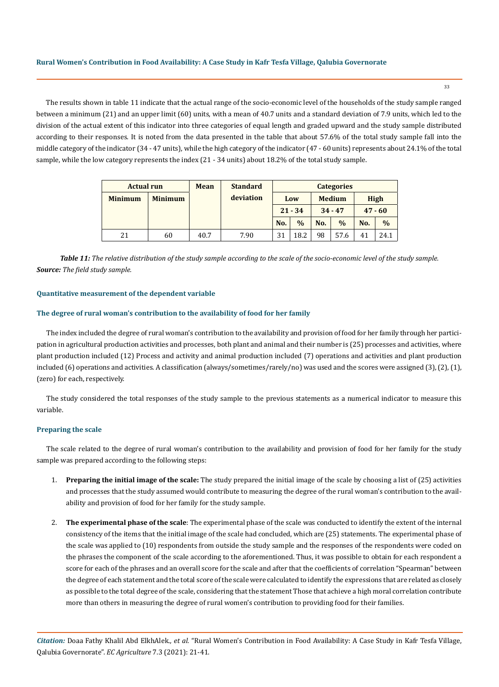The results shown in table 11 indicate that the actual range of the socio-economic level of the households of the study sample ranged between a minimum (21) and an upper limit (60) units, with a mean of 40.7 units and a standard deviation of 7.9 units, which led to the division of the actual extent of this indicator into three categories of equal length and graded upward and the study sample distributed according to their responses. It is noted from the data presented in the table that about 57.6% of the total study sample fall into the middle category of the indicator (34 - 47 units), while the high category of the indicator (47 - 60 units) represents about 24.1% of the total sample, while the low category represents the index (21 - 34 units) about 18.2% of the total study sample.

| <b>Actual run</b> |                | <b>Mean</b> | <b>Standard</b> |     |               |     | <b>Categories</b> |     |               |
|-------------------|----------------|-------------|-----------------|-----|---------------|-----|-------------------|-----|---------------|
| <b>Minimum</b>    | <b>Minimum</b> |             | deviation       |     | Low           |     | <b>Medium</b>     |     | <b>High</b>   |
|                   |                |             |                 |     | $21 - 34$     |     | $34 - 47$         |     | $47 - 60$     |
|                   |                |             |                 | No. | $\frac{0}{0}$ | No. | $\frac{0}{0}$     | No. | $\frac{0}{0}$ |
| 21                | 60             | 40.7        | 7.90            | 31  | 18.2          | 98  | 57.6              | 41  | 24.1          |

*Table 11: The relative distribution of the study sample according to the scale of the socio-economic level of the study sample. Source: The field study sample.*

#### **Quantitative measurement of the dependent variable**

### **The degree of rural woman's contribution to the availability of food for her family**

The index included the degree of rural woman's contribution to the availability and provision of food for her family through her participation in agricultural production activities and processes, both plant and animal and their number is (25) processes and activities, where plant production included (12) Process and activity and animal production included (7) operations and activities and plant production included (6) operations and activities. A classification (always/sometimes/rarely/no) was used and the scores were assigned (3), (2), (1), (zero) for each, respectively.

The study considered the total responses of the study sample to the previous statements as a numerical indicator to measure this variable.

## **Preparing the scale**

The scale related to the degree of rural woman's contribution to the availability and provision of food for her family for the study sample was prepared according to the following steps:

- 1. **Preparing the initial image of the scale:** The study prepared the initial image of the scale by choosing a list of (25) activities and processes that the study assumed would contribute to measuring the degree of the rural woman's contribution to the availability and provision of food for her family for the study sample.
- 2. **The experimental phase of the scale**: The experimental phase of the scale was conducted to identify the extent of the internal consistency of the items that the initial image of the scale had concluded, which are (25) statements. The experimental phase of the scale was applied to (10) respondents from outside the study sample and the responses of the respondents were coded on the phrases the component of the scale according to the aforementioned. Thus, it was possible to obtain for each respondent a score for each of the phrases and an overall score for the scale and after that the coefficients of correlation "Spearman" between the degree of each statement and the total score of the scale were calculated to identify the expressions that are related as closely as possible to the total degree of the scale, considering that the statement Those that achieve a high moral correlation contribute more than others in measuring the degree of rural women's contribution to providing food for their families.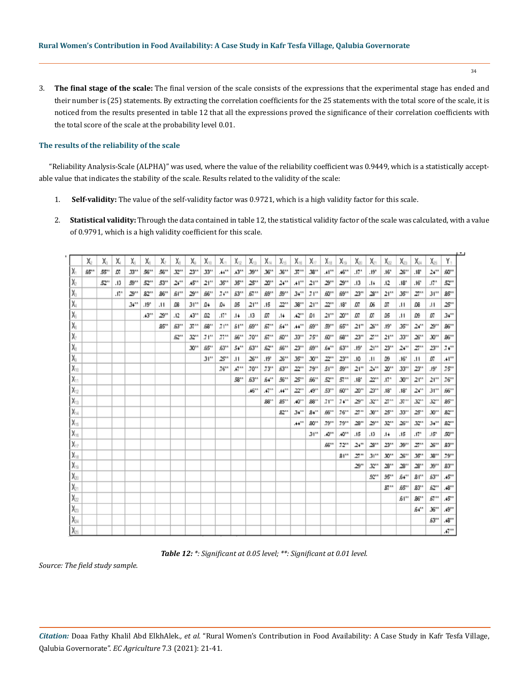3. **The final stage of the scale:** The final version of the scale consists of the expressions that the experimental stage has ended and their number is (25) statements. By extracting the correlation coefficients for the 25 statements with the total score of the scale, it is noticed from the results presented in table 12 that all the expressions proved the significance of their correlation coefficients with the total score of the scale at the probability level 0.01.

## **The results of the reliability of the scale**

"Reliability Analysis-Scale (ALPHA)" was used, where the value of the reliability coefficient was 0.9449, which is a statistically acceptable value that indicates the stability of the scale. Results related to the validity of the scale:

- 1. **Self-validity:** The value of the self-validity factor was 0.9721, which is a high validity factor for this scale.
- 2. **Statistical validity:** Through the data contained in table 12, the statistical validity factor of the scale was calculated, with a value of 0.9791, which is a high validity coefficient for this scale.

|                                              | Х.   | X.   | X.               | χ.       | X,   | χ.    | X                  | X.     | Χm               | Х.               | $\chi_{2}$          | Χs               | Xы               | Xн      | Xы       | $X_{12}$         | Χa                   | X.        | Χm               | X <sub>21</sub>   | Χz               | Χn                 | Xы               | X×               | γ.                        |
|----------------------------------------------|------|------|------------------|----------|------|-------|--------------------|--------|------------------|------------------|---------------------|------------------|------------------|---------|----------|------------------|----------------------|-----------|------------------|-------------------|------------------|--------------------|------------------|------------------|---------------------------|
| ΙX.                                          | 55'' | 55** | О7               | .33**    | 56'' | 56''  | .32**              | 23**   | .33**            | $.44 -$          | $.43***$            | .39**            | .35'''           | .35**   | .37**    | .38**            | .41                  | .45       | .17"             | .19"              | .16''            | 25**               | $.18^{\circ}$    | $24 -$           | 50''                      |
| ÌΧ,                                          |      | 52** | .13              | .59**    | 52** | .53** | 24"                | .45**  | 21 <sup>th</sup> | .35**            | .35**               | 25"              | 20**             | $24 -$  | .41      | 21**             | 29"                  | 29"       | .13              | .14               | .12              | .18 <sup>°</sup>   | .16"             | .17 <sup>°</sup> | 52**                      |
| $\overline{\mathsf{x}}$                      |      |      | .17 <sup>°</sup> | 2911     | 82** | 85''  | $51$ <sup>11</sup> | 29**   | 56**             | $74 -$           | 53"                 | 57''             | 69**             | .59**   | $34 -$   | 71"              | 50''                 | 59**      | 23**             | .28**             | 21"              | .35**              | 27**             | .31              | 85**                      |
| X,                                           |      |      |                  | $.34***$ | .19" | .11   | Ω6                 | 31"    | D4               | D4               | Ω5                  | 21 <sup>11</sup> | .15              | 22"     | .38**    | 21 <sup>th</sup> | 22"                  | .18"      | ΩТ               | Ωŝ                | .07              | .11                | Ω8               | .11              | 25**                      |
| X.                                           |      |      |                  |          | .43  | 29"   | .12                | .43    | Ω2               | .17 <sup>°</sup> | .14                 | .13              | ΩТ.              | .14     | .42      | D1               | 21**                 | 2011      | ΩТ               | .07               | Ω5               | .11                | œ                | .07              | $34 -$                    |
| $\overline{\chi}$                            |      |      |                  |          |      | 85"   | 53"                | $37 -$ | 58**             | 71 <sup>th</sup> | $51$ <sup>111</sup> | 59**             | 57**             | 54**    | $.44 -$  | 59''             | .59**                | 55**      | 21 <sup>th</sup> | $25^{\circ\circ}$ | .19'             | .35                | 24**             | 29"              | 85''                      |
| $\overline{\chi_{\rm P}}$                    |      |      |                  |          |      |       | 52"                | 32"    | <b>J1**</b>      | 77''             | 55**                | $.70**$          | 57**             | 50**    | .33**    | $75^{**}$        | 50"                  | 58**      | 23"              | 27**              | 21 <sup>th</sup> | .33**              | $25^{**}$        | .30**            | 86 <sup>11</sup>          |
| X.                                           |      |      |                  |          |      |       |                    | .30**  | 55''             | 53"              | 54**                | 53"              | 52**             | 56'''   | 23**     | 59**             | 54**                 | 53**      | .19"             | 21"               | 23"              | $24 -$             | 27**             | 23**             | $74 -$                    |
| X.                                           |      |      |                  |          |      |       |                    |        | 31"              | 25"              | .11                 | 25"              | .19 <sup>°</sup> | 25"     | $.35**$  | .30**            | 22"                  | 23**      | .10              | .11               | œ                | .16 <sup>n</sup>   | .11              | .07              | $.41***$                  |
| X <sub>10</sub>                              |      |      |                  |          |      |       |                    |        |                  | .76              | $.47**$             | .70              | $.73**$          | 53**    | 22**     | .79              | $.51$ <sup>111</sup> | .59**     | 21"              | $24^{\circ}$      | 20"              | .33                | 23**             | .19"             | $.75**$                   |
| $\overline{\chi}_{\rm H}$                    |      |      |                  |          |      |       |                    |        |                  |                  | .58**               | 53"              | $54 -$           | .56**   | 25''     | £6**             | .52**                | 57"       | .18"             | .22**             | .17 <sup>°</sup> | .30**              | 21 <sup>th</sup> | 21 <sup>th</sup> | .76                       |
| $\overline{\chi}_{12}$                       |      |      |                  |          |      |       |                    |        |                  |                  |                     | .45              | $47^{44}$        | $.44 -$ | $22^{n}$ | .49**            | .53**                | 50**      | 2011             | 23**              | .18"             | .18 <sup>n</sup>   | $24 -$           | .31              | 5611                      |
| $\overline{\chi_{13}}$                       |      |      |                  |          |      |       |                    |        |                  |                  |                     |                  | 88"              | 85**    | .40°°    | æ"               | 71"                  | 74**      | 29"              | .32**             | 27**             | .37**              | .32**            | .32"             | 85**                      |
| $\overline{\chi_{\scriptscriptstyle [i]}}$   |      |      |                  |          |      |       |                    |        |                  |                  |                     |                  |                  | 82**    | 34"      | 84**             | 55''                 | $.76**$   | 27**             | .30**             | 25"              | .33**              | 25**             | $30^{11}$        | 82**                      |
| $\overline{\chi_{\scriptscriptstyle \rm B}}$ |      |      |                  |          |      |       |                    |        |                  |                  |                     |                  |                  |         | $.44***$ | 50''             | .79**                | 79        | 28"              | 29''              | 32"              | 25**               | .32**            | .34              | 82**                      |
| X <sub>10</sub>                              |      |      |                  |          |      |       |                    |        |                  |                  |                     |                  |                  |         |          | 31 <sup>th</sup> | .40**                | $40^{**}$ | .15              | .13               | .14              | .15                | .17 <sup>°</sup> | .15"             | 50**                      |
| $\overline{\chi_{\scriptscriptstyle\rm T}}$  |      |      |                  |          |      |       |                    |        |                  |                  |                     |                  |                  |         |          |                  | 56''                 | 72"       | $24 -$           | .28**             | 23**             | .39**              | 27**             | 25"              | 83**                      |
| $\overline{\chi}_{12}$                       |      |      |                  |          |      |       |                    |        |                  |                  |                     |                  |                  |         |          |                  |                      | 81"       | 27**             | .31               | .30**            | 2611               | 35**             | .38**            | .79**                     |
| $\overline{\chi_{\scriptscriptstyle (i)}}$   |      |      |                  |          |      |       |                    |        |                  |                  |                     |                  |                  |         |          |                  |                      |           | 29"              | .32**             | 28''             | 28"                | 28"              | .39"             | 83**                      |
| $\chi_{20}$                                  |      |      |                  |          |      |       |                    |        |                  |                  |                     |                  |                  |         |          |                  |                      |           |                  | 52"               | 95**             | 54**               | 81**             | 53"              | .45**                     |
| $\overline{\chi_{21}}$                       |      |      |                  |          |      |       |                    |        |                  |                  |                     |                  |                  |         |          |                  |                      |           |                  |                   | 87**             | 55''               | 83**             | 52**             | .48**                     |
| $\overline{\chi_2}$                          |      |      |                  |          |      |       |                    |        |                  |                  |                     |                  |                  |         |          |                  |                      |           |                  |                   |                  | $51$ <sup>11</sup> | 86''             | 57**             | .45                       |
| $\overline{\chi}_2$                          |      |      |                  |          |      |       |                    |        |                  |                  |                     |                  |                  |         |          |                  |                      |           |                  |                   |                  |                    | 54**             | 35"              | $.49**$                   |
| $\overline{\chi}_{0i}$                       |      |      |                  |          |      |       |                    |        |                  |                  |                     |                  |                  |         |          |                  |                      |           |                  |                   |                  |                    |                  | 53"              | .48**                     |
| $\chi_{\text{eff}}$                          |      |      |                  |          |      |       |                    |        |                  |                  |                     |                  |                  |         |          |                  |                      |           |                  |                   |                  |                    |                  |                  | $\mathcal{M}^{\text{an}}$ |

*Table 12: \*: Significant at 0.05 level; \*\*: Significant at 0.01 level.*

*Source: The field study sample.*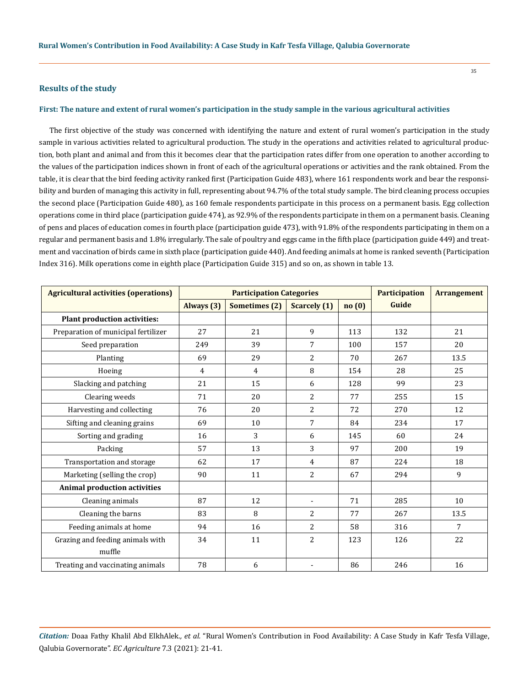## **Results of the study**

## **First: The nature and extent of rural women's participation in the study sample in the various agricultural activities**

The first objective of the study was concerned with identifying the nature and extent of rural women's participation in the study sample in various activities related to agricultural production. The study in the operations and activities related to agricultural production, both plant and animal and from this it becomes clear that the participation rates differ from one operation to another according to the values of the participation indices shown in front of each of the agricultural operations or activities and the rank obtained. From the table, it is clear that the bird feeding activity ranked first (Participation Guide 483), where 161 respondents work and bear the responsibility and burden of managing this activity in full, representing about 94.7% of the total study sample. The bird cleaning process occupies the second place (Participation Guide 480), as 160 female respondents participate in this process on a permanent basis. Egg collection operations come in third place (participation guide 474), as 92.9% of the respondents participate in them on a permanent basis. Cleaning of pens and places of education comes in fourth place (participation guide 473), with 91.8% of the respondents participating in them on a regular and permanent basis and 1.8% irregularly. The sale of poultry and eggs came in the fifth place (participation guide 449) and treatment and vaccination of birds came in sixth place (participation guide 440). And feeding animals at home is ranked seventh (Participation Index 316). Milk operations come in eighth place (Participation Guide 315) and so on, as shown in table 13.

| <b>Agricultural activities (operations)</b> |                | <b>Participation Categories</b> | <b>Participation</b>     | <b>Arrangement</b> |       |      |
|---------------------------------------------|----------------|---------------------------------|--------------------------|--------------------|-------|------|
|                                             | Always (3)     | <b>Sometimes</b> (2)            | <b>Scarcely</b> (1)      | no(0)              | Guide |      |
| <b>Plant production activities:</b>         |                |                                 |                          |                    |       |      |
| Preparation of municipal fertilizer         | 27             | 21                              | 9                        | 113                | 132   | 21   |
| Seed preparation                            | 249            | 39                              | 7                        | 100                | 157   | 20   |
| Planting                                    | 69             | 29                              | 2                        | 70                 | 267   | 13.5 |
| Hoeing                                      | $\overline{4}$ | $\overline{4}$                  | 8                        | 154                | 28    | 25   |
| Slacking and patching                       | 21             | 15                              | 6                        | 128                | 99    | 23   |
| Clearing weeds                              | 71             | 20                              | 2                        | 77                 | 255   | 15   |
| Harvesting and collecting                   | 76             | 20                              | $\overline{c}$           | 72                 | 270   | 12   |
| Sifting and cleaning grains                 | 69             | 10                              | 7                        | 84                 | 234   | 17   |
| Sorting and grading                         | 16             | 3                               | 6                        | 145                | 60    | 24   |
| Packing                                     | 57             | 13                              | 3                        | 97                 | 200   | 19   |
| Transportation and storage                  | 62             | 17                              | 4                        | 87                 | 224   | 18   |
| Marketing (selling the crop)                | 90             | 11                              | 2                        | 67                 | 294   | 9    |
| <b>Animal production activities</b>         |                |                                 |                          |                    |       |      |
| Cleaning animals                            | 87             | 12                              | $\overline{\phantom{a}}$ | 71                 | 285   | 10   |
| Cleaning the barns                          | 83             | 8                               | $\overline{2}$           | 77                 | 267   | 13.5 |
| Feeding animals at home                     | 94             | 16                              | $\overline{2}$           | 58                 | 316   | 7    |
| Grazing and feeding animals with            | 34             | 11                              | 2                        | 123                | 126   | 22   |
| muffle                                      |                |                                 |                          |                    |       |      |
| Treating and vaccinating animals            | 78             | 6                               |                          | 86                 | 246   | 16   |

*Citation:* Doaa Fathy Khalil Abd ElkhAlek*., et al.* "Rural Women's Contribution in Food Availability: A Case Study in Kafr Tesfa Village, Qalubia Governorate". *EC Agriculture* 7.3 (2021): 21-41.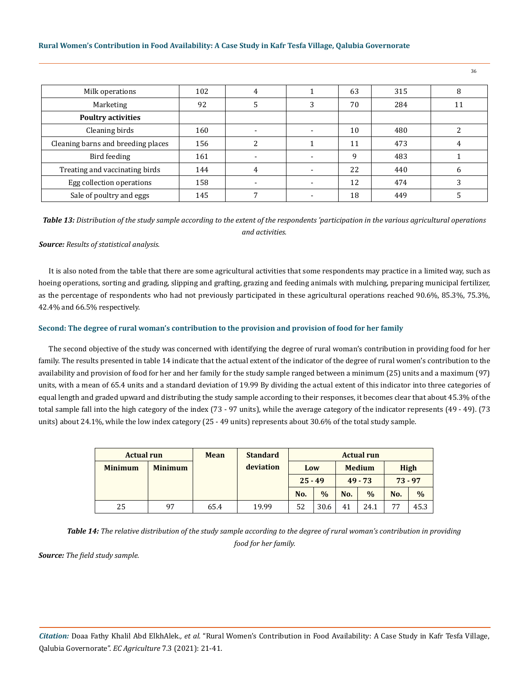## **Rural Women's Contribution in Food Availability: A Case Study in Kafr Tesfa Village, Qalubia Governorate**

| Milk operations                    | 102 | 4 |   | 63 | 315 | 8  |
|------------------------------------|-----|---|---|----|-----|----|
| Marketing                          | 92  |   | 3 | 70 | 284 | 11 |
| <b>Poultry activities</b>          |     |   |   |    |     |    |
| Cleaning birds                     | 160 |   |   | 10 | 480 |    |
| Cleaning barns and breeding places | 156 |   |   | 11 | 473 |    |
| Bird feeding                       | 161 |   |   | 9  | 483 |    |
| Treating and vaccinating birds     | 144 | 4 |   | 22 | 440 | 6  |
| Egg collection operations          | 158 |   |   | 12 | 474 | 3  |
| Sale of poultry and eggs           | 145 |   |   | 18 | 449 |    |

*Table 13: Distribution of the study sample according to the extent of the respondents 'participation in the various agricultural operations and activities.*

## *Source: Results of statistical analysis.*

It is also noted from the table that there are some agricultural activities that some respondents may practice in a limited way, such as hoeing operations, sorting and grading, slipping and grafting, grazing and feeding animals with mulching, preparing municipal fertilizer, as the percentage of respondents who had not previously participated in these agricultural operations reached 90.6%, 85.3%, 75.3%, 42.4% and 66.5% respectively.

## **Second: The degree of rural woman's contribution to the provision and provision of food for her family**

The second objective of the study was concerned with identifying the degree of rural woman's contribution in providing food for her family. The results presented in table 14 indicate that the actual extent of the indicator of the degree of rural women's contribution to the availability and provision of food for her and her family for the study sample ranged between a minimum (25) units and a maximum (97) units, with a mean of 65.4 units and a standard deviation of 19.99 By dividing the actual extent of this indicator into three categories of equal length and graded upward and distributing the study sample according to their responses, it becomes clear that about 45.3% of the total sample fall into the high category of the index (73 - 97 units), while the average category of the indicator represents (49 - 49). (73 units) about 24.1%, while the low index category (25 - 49 units) represents about 30.6% of the total study sample.

| <b>Actual run</b> |                | Mean | <b>Standard</b><br><b>Actual run</b> |           |               |               |               |             |               |  |
|-------------------|----------------|------|--------------------------------------|-----------|---------------|---------------|---------------|-------------|---------------|--|
| <b>Minimum</b>    | <b>Minimum</b> |      | deviation                            | Low       |               | <b>Medium</b> |               | <b>High</b> |               |  |
|                   |                |      |                                      | $25 - 49$ |               | $49 - 73$     |               | $73 - 97$   |               |  |
|                   |                |      |                                      | No.       | $\frac{0}{0}$ | No.           | $\frac{0}{0}$ | No.         | $\frac{0}{0}$ |  |
| 25                | 97             | 65.4 | 19.99                                | 52        | 30.6          | 41            | 24.1          | 77          | 45.3          |  |

*Table 14: The relative distribution of the study sample according to the degree of rural woman's contribution in providing food for her family.*

*Source: The field study sample.*

*Citation:* Doaa Fathy Khalil Abd ElkhAlek*., et al.* "Rural Women's Contribution in Food Availability: A Case Study in Kafr Tesfa Village, Qalubia Governorate". *EC Agriculture* 7.3 (2021): 21-41.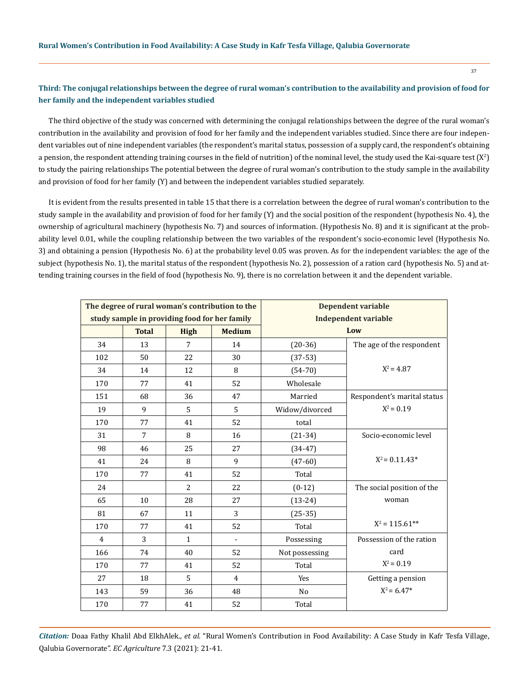# **Third: The conjugal relationships between the degree of rural woman's contribution to the availability and provision of food for her family and the independent variables studied**

The third objective of the study was concerned with determining the conjugal relationships between the degree of the rural woman's contribution in the availability and provision of food for her family and the independent variables studied. Since there are four independent variables out of nine independent variables (the respondent's marital status, possession of a supply card, the respondent's obtaining a pension, the respondent attending training courses in the field of nutrition) of the nominal level, the study used the Kai-square test (X<sup>2</sup>) to study the pairing relationships The potential between the degree of rural woman's contribution to the study sample in the availability and provision of food for her family (Y) and between the independent variables studied separately.

It is evident from the results presented in table 15 that there is a correlation between the degree of rural woman's contribution to the study sample in the availability and provision of food for her family (Y) and the social position of the respondent (hypothesis No. 4), the ownership of agricultural machinery (hypothesis No. 7) and sources of information. (Hypothesis No. 8) and it is significant at the probability level 0.01, while the coupling relationship between the two variables of the respondent's socio-economic level (Hypothesis No. 3) and obtaining a pension (Hypothesis No. 6) at the probability level 0.05 was proven. As for the independent variables: the age of the subject (hypothesis No. 1), the marital status of the respondent (hypothesis No. 2), possession of a ration card (hypothesis No. 5) and attending training courses in the field of food (hypothesis No. 9), there is no correlation between it and the dependent variable.

| The degree of rural woman's contribution to the<br>study sample in providing food for her family |                |                |                | <b>Dependent variable</b><br><b>Independent variable</b> |                             |  |  |  |
|--------------------------------------------------------------------------------------------------|----------------|----------------|----------------|----------------------------------------------------------|-----------------------------|--|--|--|
|                                                                                                  | <b>Total</b>   | <b>High</b>    | <b>Medium</b>  | Low                                                      |                             |  |  |  |
| 34                                                                                               | 13             | 7              | 14             | $(20-36)$                                                | The age of the respondent   |  |  |  |
| 102                                                                                              | 50             | 22             | 30             | $(37-53)$                                                |                             |  |  |  |
| 34                                                                                               | 14             | 12             | 8              | $(54-70)$                                                | $X^2 = 4.87$                |  |  |  |
| 170                                                                                              | 77             | 41             | 52             | Wholesale                                                |                             |  |  |  |
| 151                                                                                              | 68             | 36             | 47             | Married                                                  | Respondent's marital status |  |  |  |
| 19                                                                                               | 9              | 5              | 5              | Widow/divorced                                           | $X^2 = 0.19$                |  |  |  |
| 170                                                                                              | 77             | 41             | 52             | total                                                    |                             |  |  |  |
| 31                                                                                               | $\overline{7}$ | 8              | 16             | $(21-34)$                                                | Socio-economic level        |  |  |  |
| 98                                                                                               | 46             | 25             | 27             | $(34-47)$                                                |                             |  |  |  |
| 41                                                                                               | 24             | 8              | 9              | $(47-60)$                                                | $X^2 = 0.11.43*$            |  |  |  |
| 170                                                                                              | 77             | 41             | 52             | Total                                                    |                             |  |  |  |
| 24                                                                                               |                | $\overline{c}$ | 22             | $(0-12)$                                                 | The social position of the  |  |  |  |
| 65                                                                                               | 10             | 28             | 27             | $(13-24)$                                                | woman                       |  |  |  |
| 81                                                                                               | 67             | 11             | 3              | $(25-35)$                                                |                             |  |  |  |
| 170                                                                                              | 77             | 41             | 52             | Total                                                    | $X^2 = 115.61**$            |  |  |  |
| $\overline{4}$                                                                                   | 3              | $\mathbf{1}$   | $\blacksquare$ | Possessing                                               | Possession of the ration    |  |  |  |
| 166                                                                                              | 74             | 40             | 52             | Not possessing                                           | card                        |  |  |  |
| 170                                                                                              | 77             | 41             | 52             | Total                                                    | $X^2 = 0.19$                |  |  |  |
| 27                                                                                               | 18             | 5              | $\overline{4}$ | Yes                                                      | Getting a pension           |  |  |  |
| 143                                                                                              | 59             | 36             | 48             | N <sub>o</sub>                                           | $X^2 = 6.47*$               |  |  |  |
| 170                                                                                              | 77             | 41             | 52             | Total                                                    |                             |  |  |  |

*Citation:* Doaa Fathy Khalil Abd ElkhAlek*., et al.* "Rural Women's Contribution in Food Availability: A Case Study in Kafr Tesfa Village, Qalubia Governorate". *EC Agriculture* 7.3 (2021): 21-41.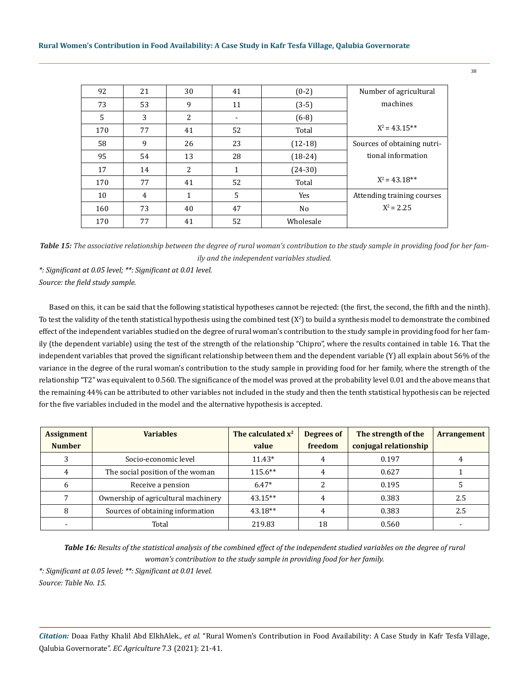| 92  | 21 | 30 | 41 | $(0-2)$   | Number of agricultural      |
|-----|----|----|----|-----------|-----------------------------|
| 73  | 53 | 9  | 11 | $(3-5)$   | machines                    |
| 5   | 3  | 2  |    | $(6-8)$   |                             |
| 170 | 77 | 41 | 52 | Total     | $X^2 = 43.15^{**}$          |
| 58  | 9  | 26 | 23 | $(12-18)$ | Sources of obtaining nutri- |
| 95  | 54 | 13 | 28 | $(18-24)$ | tional information          |
| 17  | 14 | 2  | 1  | $(24-30)$ |                             |
| 170 | 77 | 41 | 52 | Total     | $X^2 = 43.18**$             |
| 10  | 4  | 1  | 5  | Yes       | Attending training courses  |
| 160 | 73 | 40 | 47 | No        | $X^2 = 2.25$                |
| 170 | 77 | 41 | 52 | Wholesale |                             |

*Table 15: The associative relationship between the degree of rural woman's contribution to the study sample in providing food for her family and the independent variables studied.*

*\*: Significant at 0.05 level; \*\*: Significant at 0.01 level. Source: the field study sample.*

Based on this, it can be said that the following statistical hypotheses cannot be rejected: (the first, the second, the fifth and the ninth). To test the validity of the tenth statistical hypothesis using the combined test  $(X^2)$  to build a synthesis model to demonstrate the combined effect of the independent variables studied on the degree of rural woman's contribution to the study sample in providing food for her family (the dependent variable) using the test of the strength of the relationship "Chipro", where the results contained in table 16. That the independent variables that proved the significant relationship between them and the dependent variable (Y) all explain about 56% of the variance in the degree of the rural woman's contribution to the study sample in providing food for her family, where the strength of the relationship "T2" was equivalent to 0.560. The significance of the model was proved at the probability level 0.01 and the above means that the remaining 44% can be attributed to other variables not included in the study and then the tenth statistical hypothesis can be rejected for the five variables included in the model and the alternative hypothesis is accepted.

| <b>Assignment</b> | <b>Variables</b>                    | The calculated $x^2$ | Degrees of | The strength of the   | <b>Arrangement</b> |
|-------------------|-------------------------------------|----------------------|------------|-----------------------|--------------------|
| <b>Number</b>     |                                     | value                | freedom    | conjugal relationship |                    |
|                   | Socio-economic level                | $11.43*$             |            | 0.197                 | 4                  |
| 4                 | The social position of the woman    | $115.6**$            |            | 0.627                 |                    |
| 6                 | Receive a pension                   | $6.47*$              |            | 0.195                 |                    |
|                   | Ownership of agricultural machinery | $43.15**$            |            | 0.383                 | 2.5                |
| 8                 | Sources of obtaining information    | 43.18**              |            | 0.383                 | 2.5                |
|                   | Total                               | 219.83               | 18         | 0.560                 |                    |

*Table 16: Results of the statistical analysis of the combined effect of the independent studied variables on the degree of rural woman's contribution to the study sample in providing food for her family.*

*\*: Significant at 0.05 level; \*\*: Significant at 0.01 level. Source: Table No. 15.*

*Citation:* Doaa Fathy Khalil Abd ElkhAlek*., et al.* "Rural Women's Contribution in Food Availability: A Case Study in Kafr Tesfa Village, Qalubia Governorate". *EC Agriculture* 7.3 (2021): 21-41.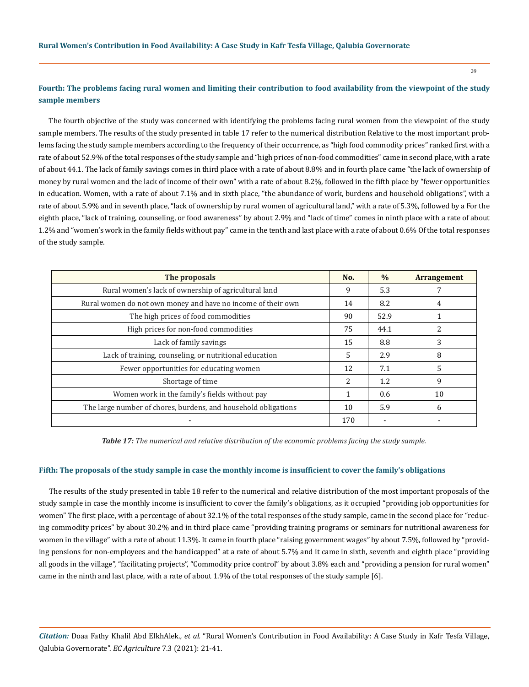**sample members**

# **Fourth: The problems facing rural women and limiting their contribution to food availability from the viewpoint of the study**

The fourth objective of the study was concerned with identifying the problems facing rural women from the viewpoint of the study sample members. The results of the study presented in table 17 refer to the numerical distribution Relative to the most important problems facing the study sample members according to the frequency of their occurrence, as "high food commodity prices" ranked first with a rate of about 52.9% of the total responses of the study sample and "high prices of non-food commodities" came in second place, with a rate of about 44.1. The lack of family savings comes in third place with a rate of about 8.8% and in fourth place came "the lack of ownership of money by rural women and the lack of income of their own" with a rate of about 8.2%, followed in the fifth place by "fewer opportunities in education. Women, with a rate of about 7.1% and in sixth place, "the abundance of work, burdens and household obligations", with a rate of about 5.9% and in seventh place, "lack of ownership by rural women of agricultural land," with a rate of 5.3%, followed by a For the eighth place, "lack of training, counseling, or food awareness" by about 2.9% and "lack of time" comes in ninth place with a rate of about 1.2% and "women's work in the family fields without pay" came in the tenth and last place with a rate of about 0.6% Of the total responses of the study sample.

| The proposals                                                  | No.                      | $\frac{0}{0}$ | <b>Arrangement</b> |
|----------------------------------------------------------------|--------------------------|---------------|--------------------|
| Rural women's lack of ownership of agricultural land           | 9                        | 5.3           |                    |
| Rural women do not own money and have no income of their own   | 14                       | 8.2           | 4                  |
| The high prices of food commodities                            | 90                       | 52.9          |                    |
| High prices for non-food commodities                           | 75                       | 44.1          | 2                  |
| Lack of family savings                                         | 15                       | 8.8           | 3                  |
| Lack of training, counseling, or nutritional education         | 5                        | 2.9           | 8                  |
| Fewer opportunities for educating women                        | 12                       | 7.1           | 5                  |
| Shortage of time                                               | $\overline{\mathcal{L}}$ | 1.2           | 9                  |
| Women work in the family's fields without pay                  |                          | 0.6           | 10                 |
| The large number of chores, burdens, and household obligations | 10                       | 5.9           | 6                  |
|                                                                | 170                      |               |                    |

*Table 17: The numerical and relative distribution of the economic problems facing the study sample.*

#### **Fifth: The proposals of the study sample in case the monthly income is insufficient to cover the family's obligations**

The results of the study presented in table 18 refer to the numerical and relative distribution of the most important proposals of the study sample in case the monthly income is insufficient to cover the family's obligations, as it occupied "providing job opportunities for women" The first place, with a percentage of about 32.1% of the total responses of the study sample, came in the second place for "reducing commodity prices" by about 30.2% and in third place came "providing training programs or seminars for nutritional awareness for women in the village" with a rate of about 11.3%. It came in fourth place "raising government wages" by about 7.5%, followed by "providing pensions for non-employees and the handicapped" at a rate of about 5.7% and it came in sixth, seventh and eighth place "providing all goods in the village", "facilitating projects", "Commodity price control" by about 3.8% each and "providing a pension for rural women" came in the ninth and last place, with a rate of about 1.9% of the total responses of the study sample [6].

*Citation:* Doaa Fathy Khalil Abd ElkhAlek*., et al.* "Rural Women's Contribution in Food Availability: A Case Study in Kafr Tesfa Village, Qalubia Governorate". *EC Agriculture* 7.3 (2021): 21-41.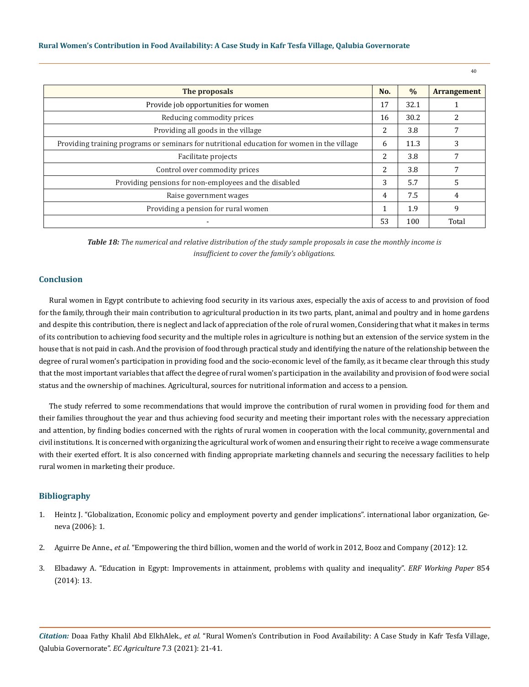| The proposals                                                                              | No.            | $\%$ | <b>Arrangement</b> |
|--------------------------------------------------------------------------------------------|----------------|------|--------------------|
| Provide job opportunities for women                                                        | 17             | 32.1 |                    |
| Reducing commodity prices                                                                  | 16             | 30.2 | 2                  |
| Providing all goods in the village                                                         | 2              | 3.8  | 7                  |
| Providing training programs or seminars for nutritional education for women in the village | 6              | 11.3 | 3                  |
| Facilitate projects                                                                        | $\overline{2}$ | 3.8  | 7                  |
| Control over commodity prices                                                              |                |      | 7                  |
| Providing pensions for non-employees and the disabled                                      |                |      | 5                  |
| Raise government wages                                                                     | $\overline{4}$ | 7.5  | 4                  |
| Providing a pension for rural women                                                        | $\mathbf{1}$   | 1.9  | 9                  |
|                                                                                            | 53             | 100  | Total              |

*Table 18: The numerical and relative distribution of the study sample proposals in case the monthly income is insufficient to cover the family's obligations.*

# **Conclusion**

Rural women in Egypt contribute to achieving food security in its various axes, especially the axis of access to and provision of food for the family, through their main contribution to agricultural production in its two parts, plant, animal and poultry and in home gardens and despite this contribution, there is neglect and lack of appreciation of the role of rural women, Considering that what it makes in terms of its contribution to achieving food security and the multiple roles in agriculture is nothing but an extension of the service system in the house that is not paid in cash. And the provision of food through practical study and identifying the nature of the relationship between the degree of rural women's participation in providing food and the socio-economic level of the family, as it became clear through this study that the most important variables that affect the degree of rural women's participation in the availability and provision of food were social status and the ownership of machines. Agricultural, sources for nutritional information and access to a pension.

The study referred to some recommendations that would improve the contribution of rural women in providing food for them and their families throughout the year and thus achieving food security and meeting their important roles with the necessary appreciation and attention, by finding bodies concerned with the rights of rural women in cooperation with the local community, governmental and civil institutions. It is concerned with organizing the agricultural work of women and ensuring their right to receive a wage commensurate with their exerted effort. It is also concerned with finding appropriate marketing channels and securing the necessary facilities to help rural women in marketing their produce.

## **Bibliography**

- 1. [Heintz J. "Globalization, Economic policy and employment poverty and gender implications". international labor organization, Ge](https://ideas.repec.org/p/uma/perips/heintz_gender.html)[neva \(2006\): 1.](https://ideas.repec.org/p/uma/perips/heintz_gender.html)
- 2. Aguirre De Anne., *et al.* ["Empowering the third billion, women and the world of work in 2012, Booz and Company \(2012\): 12.](https://www.strategyand.pwc.com/gx/en/insights/2011-2014/empowering-third-billion-women-world.html)
- 3. [Elbadawy A. "Education in Egypt: Improvements in attainment, problems with quality and inequality".](https://ideas.repec.org/p/erg/wpaper/854.html) *ERF Working Paper* 854 [\(2014\): 13.](https://ideas.repec.org/p/erg/wpaper/854.html)

*Citation:* Doaa Fathy Khalil Abd ElkhAlek*., et al.* "Rural Women's Contribution in Food Availability: A Case Study in Kafr Tesfa Village, Qalubia Governorate". *EC Agriculture* 7.3 (2021): 21-41.